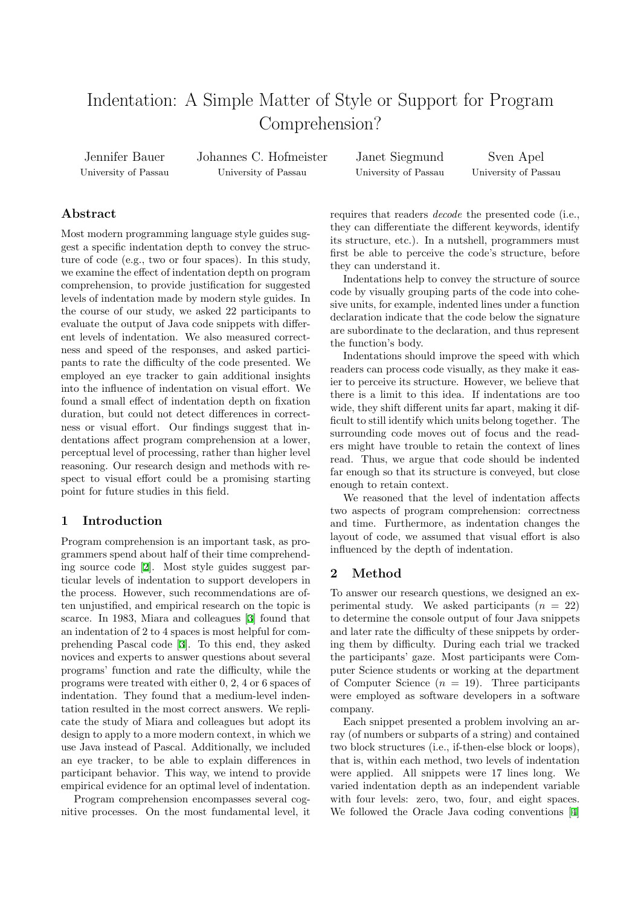# Indentation: A Simple Matter of Style or Support for Program Comprehension?

Jennifer Bauer University of Passau Johannes C. Hofmeister University of Passau

Janet Siegmund University of Passau

Sven Apel University of Passau

## **Abstract**

Most modern programming language style guides suggest a specific indentation depth to convey the structure of code (e.g., two or four spaces). In this study, we examine the effect of indentation depth on program comprehension, to provide justification for suggested levels of indentation made by modern style guides. In the course of our study, we asked 22 participants to evaluate the output of Java code snippets with different levels of indentation. We also measured correctness and speed of the responses, and asked participants to rate the difficulty of the code presented. We employed an eye tracker to gain additional insights into the influence of indentation on visual effort. We found a small effect of indentation depth on fixation duration, but could not detect differences in correctness or visual effort. Our findings suggest that indentations affect program comprehension at a lower, perceptual level of processing, rather than higher level reasoning. Our research design and methods with respect to visual effort could be a promising starting point for future studies in this field.

## **1 Introduction**

Program comprehension is an important task, as programmers spend about half of their time comprehending source code [2]. Most style guides suggest particular levels of indentation to support developers in the process. However, such recommendations are often unjustified, and empirical research on the topic is scarce. In 1983, [M](#page-1-0)iara and colleagues [3] found that an indentation of 2 to 4 spaces is most helpful for comprehending Pascal code [3]. To this end, they asked novices and experts to answer questions about several programs' function and rate the difficu[lt](#page-1-1)y, while the programs were treated with either 0, 2, 4 or 6 spaces of indentation. They found [t](#page-1-1)hat a medium-level indentation resulted in the most correct answers. We replicate the study of Miara and colleagues but adopt its design to apply to a more modern context, in which we use Java instead of Pascal. Additionally, we included an eye tracker, to be able to explain differences in participant behavior. This way, we intend to provide empirical evidence for an optimal level of indentation.

Program comprehension encompasses several cognitive processes. On the most fundamental level, it requires that readers *decode* the presented code (i.e., they can differentiate the different keywords, identify its structure, etc.). In a nutshell, programmers must first be able to perceive the code's structure, before they can understand it.

Indentations help to convey the structure of source code by visually grouping parts of the code into cohesive units, for example, indented lines under a function declaration indicate that the code below the signature are subordinate to the declaration, and thus represent the function's body.

Indentations should improve the speed with which readers can process code visually, as they make it easier to perceive its structure. However, we believe that there is a limit to this idea. If indentations are too wide, they shift different units far apart, making it difficult to still identify which units belong together. The surrounding code moves out of focus and the readers might have trouble to retain the context of lines read. Thus, we argue that code should be indented far enough so that its structure is conveyed, but close enough to retain context.

We reasoned that the level of indentation affects two aspects of program comprehension: correctness and time. Furthermore, as indentation changes the layout of code, we assumed that visual effort is also influenced by the depth of indentation.

## **2 Method**

To answer our research questions, we designed an experimental study. We asked participants  $(n = 22)$ to determine the console output of four Java snippets and later rate the difficulty of these snippets by ordering them by difficulty. During each trial we tracked the participants' gaze. Most participants were Computer Science students or working at the department of Computer Science  $(n = 19)$ . Three participants were employed as software developers in a software company.

Each snippet presented a problem involving an array (of numbers or subparts of a string) and contained two block structures (i.e., if-then-else block or loops), that is, within each method, two levels of indentation were applied. All snippets were 17 lines long. We varied indentation depth as an independent variable with four levels: zero, two, four, and eight spaces. We followed the Oracle Java coding conventions [4]